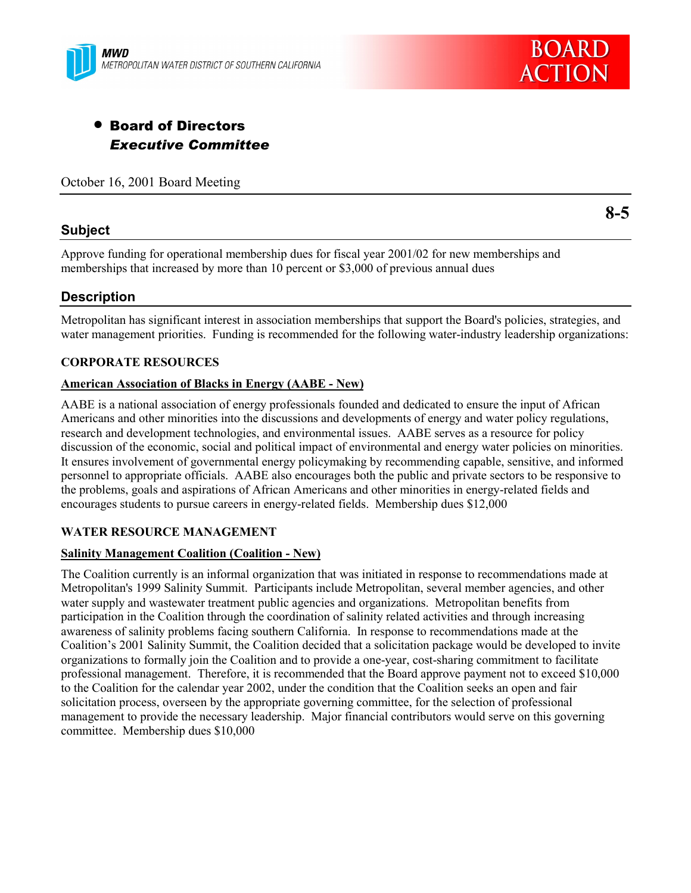



# • Board of Directors *Executive Committee*

October 16, 2001 Board Meeting

# **Subject**

**8-5**

Approve funding for operational membership dues for fiscal year 2001/02 for new memberships and memberships that increased by more than 10 percent or \$3,000 of previous annual dues

# **Description**

Metropolitan has significant interest in association memberships that support the Board's policies, strategies, and water management priorities. Funding is recommended for the following water-industry leadership organizations:

## **CORPORATE RESOURCES**

#### **American Association of Blacks in Energy (AABE - New)**

AABE is a national association of energy professionals founded and dedicated to ensure the input of African Americans and other minorities into the discussions and developments of energy and water policy regulations, research and development technologies, and environmental issues. AABE serves as a resource for policy discussion of the economic, social and political impact of environmental and energy water policies on minorities. It ensures involvement of governmental energy policymaking by recommending capable, sensitive, and informed personnel to appropriate officials. AABE also encourages both the public and private sectors to be responsive to the problems, goals and aspirations of African Americans and other minorities in energy-related fields and encourages students to pursue careers in energy-related fields. Membership dues \$12,000

#### **WATER RESOURCE MANAGEMENT**

#### **Salinity Management Coalition (Coalition - New)**

The Coalition currently is an informal organization that was initiated in response to recommendations made at Metropolitan's 1999 Salinity Summit. Participants include Metropolitan, several member agencies, and other water supply and wastewater treatment public agencies and organizations. Metropolitan benefits from participation in the Coalition through the coordination of salinity related activities and through increasing awareness of salinity problems facing southern California. In response to recommendations made at the Coalition's 2001 Salinity Summit, the Coalition decided that a solicitation package would be developed to invite organizations to formally join the Coalition and to provide a one-year, cost-sharing commitment to facilitate professional management. Therefore, it is recommended that the Board approve payment not to exceed \$10,000 to the Coalition for the calendar year 2002, under the condition that the Coalition seeks an open and fair solicitation process, overseen by the appropriate governing committee, for the selection of professional management to provide the necessary leadership. Major financial contributors would serve on this governing committee. Membership dues \$10,000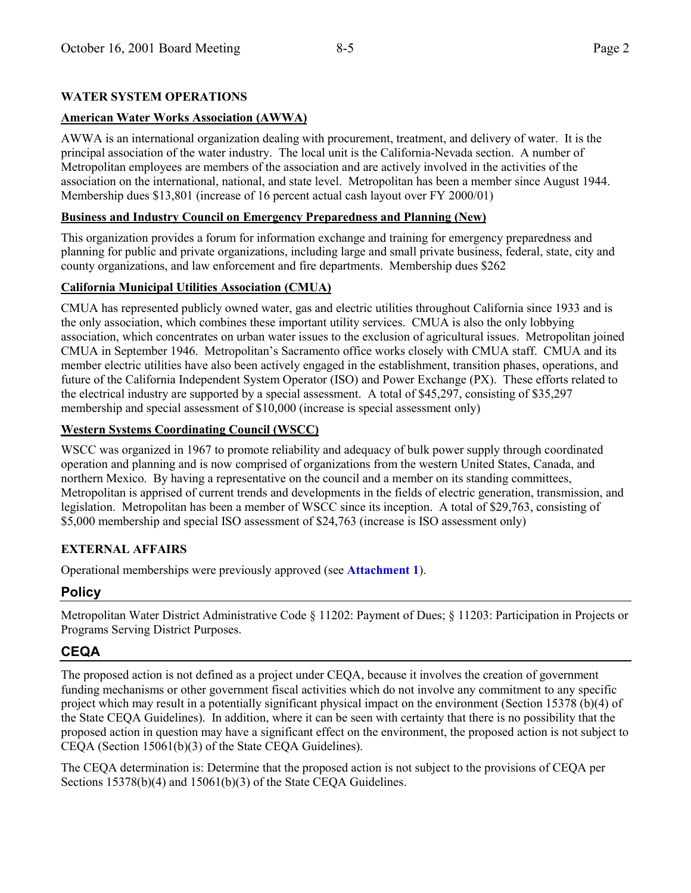# **WATER SYSTEM OPERATIONS**

# **American Water Works Association (AWWA)**

AWWA is an international organization dealing with procurement, treatment, and delivery of water. It is the principal association of the water industry. The local unit is the California-Nevada section. A number of Metropolitan employees are members of the association and are actively involved in the activities of the association on the international, national, and state level. Metropolitan has been a member since August 1944. Membership dues \$13,801 (increase of 16 percent actual cash layout over FY 2000/01)

## **Business and Industry Council on Emergency Preparedness and Planning (New)**

This organization provides a forum for information exchange and training for emergency preparedness and planning for public and private organizations, including large and small private business, federal, state, city and county organizations, and law enforcement and fire departments. Membership dues \$262

## **California Municipal Utilities Association (CMUA)**

CMUA has represented publicly owned water, gas and electric utilities throughout California since 1933 and is the only association, which combines these important utility services. CMUA is also the only lobbying association, which concentrates on urban water issues to the exclusion of agricultural issues. Metropolitan joined CMUA in September 1946. Metropolitanís Sacramento office works closely with CMUA staff. CMUA and its member electric utilities have also been actively engaged in the establishment, transition phases, operations, and future of the California Independent System Operator (ISO) and Power Exchange (PX). These efforts related to the electrical industry are supported by a special assessment. A total of \$45,297, consisting of \$35,297 membership and special assessment of \$10,000 (increase is special assessment only)

## **Western Systems Coordinating Council (WSCC)**

WSCC was organized in 1967 to promote reliability and adequacy of bulk power supply through coordinated operation and planning and is now comprised of organizations from the western United States, Canada, and northern Mexico. By having a representative on the council and a member on its standing committees, Metropolitan is apprised of current trends and developments in the fields of electric generation, transmission, and legislation. Metropolitan has been a member of WSCC since its inception. A total of \$29,763, consisting of \$5,000 membership and special ISO assessment of \$24,763 (increase is ISO assessment only)

## **EXTERNAL AFFAIRS**

Operational memberships were previously approved (see **Attachment 1**).

# **Policy**

Metropolitan Water District Administrative Code ß 11202: Payment of Dues; ß 11203: Participation in Projects or Programs Serving District Purposes.

# **CEQA**

The proposed action is not defined as a project under CEQA, because it involves the creation of government funding mechanisms or other government fiscal activities which do not involve any commitment to any specific project which may result in a potentially significant physical impact on the environment (Section 15378 (b)(4) of the State CEQA Guidelines). In addition, where it can be seen with certainty that there is no possibility that the proposed action in question may have a significant effect on the environment, the proposed action is not subject to CEQA (Section 15061(b)(3) of the State CEQA Guidelines).

The CEQA determination is: Determine that the proposed action is not subject to the provisions of CEQA per Sections 15378(b)(4) and 15061(b)(3) of the State CEQA Guidelines.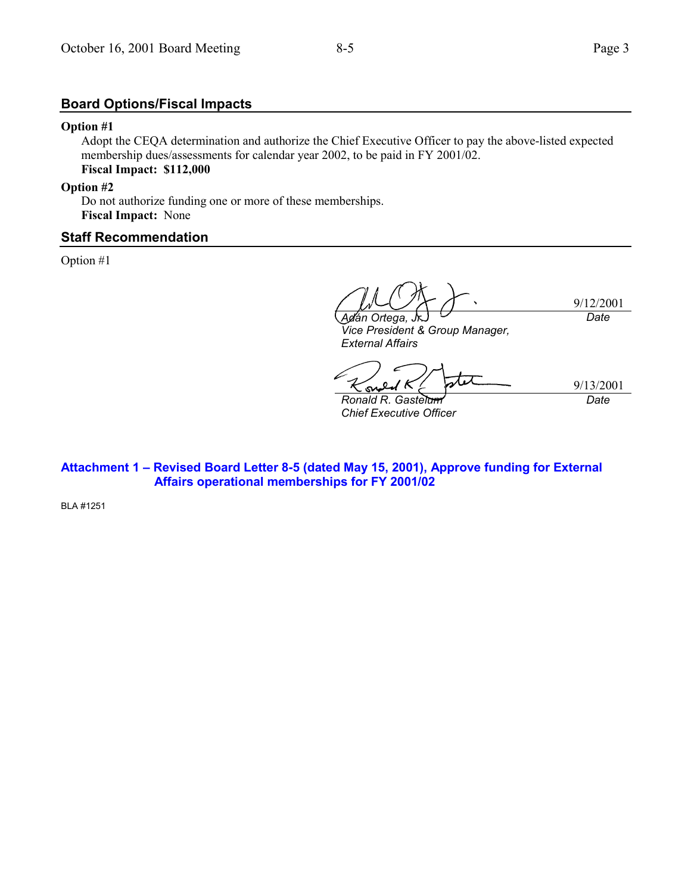# **Board Options/Fiscal Impacts**

#### **Option #1**

Adopt the CEQA determination and authorize the Chief Executive Officer to pay the above-listed expected membership dues/assessments for calendar year 2002, to be paid in FY 2001/02. **Fiscal Impact: \$112,000**

#### **Option #2**

Do not authorize funding one or more of these memberships. **Fiscal Impact:** None

#### **Staff Recommendation**

Option #1

9/12/2001 *Adán Ortega, Date*

*Vice President & Group Manager, External Affairs*

9/13/2001 *Date*

*Ronald R. Gastelum Chief Executive Officer*

Attachment 1 - Revised Board Letter 8-5 (dated May 15, 2001), Approve funding for External  **Affairs operational memberships for FY 2001/02**

BLA #1251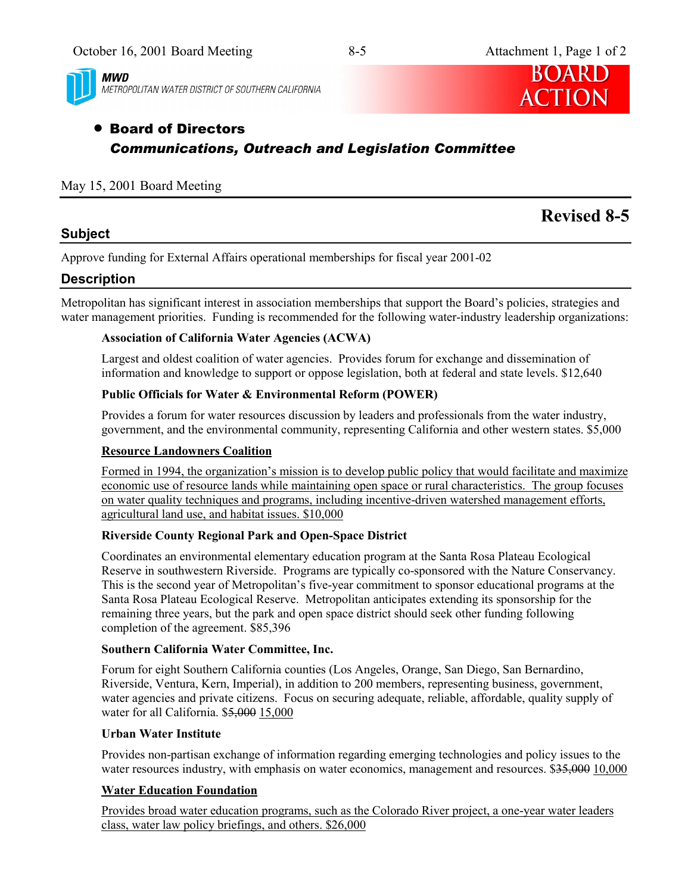

**MWD** METROPOLITAN WATER DISTRICT OF SOUTHERN CALIFORNIA



# • Board of Directors *Communications, Outreach and Legislation Committee*

# May 15, 2001 Board Meeting

# **Subject**

# **Revised 8-5**

Approve funding for External Affairs operational memberships for fiscal year 2001-02

# **Description**

Metropolitan has significant interest in association memberships that support the Board's policies, strategies and water management priorities. Funding is recommended for the following water-industry leadership organizations:

# **Association of California Water Agencies (ACWA)**

Largest and oldest coalition of water agencies. Provides forum for exchange and dissemination of information and knowledge to support or oppose legislation, both at federal and state levels. \$12,640

# **Public Officials for Water & Environmental Reform (POWER)**

Provides a forum for water resources discussion by leaders and professionals from the water industry, government, and the environmental community, representing California and other western states. \$5,000

## **Resource Landowners Coalition**

Formed in 1994, the organization's mission is to develop public policy that would facilitate and maximize economic use of resource lands while maintaining open space or rural characteristics. The group focuses on water quality techniques and programs, including incentive-driven watershed management efforts, agricultural land use, and habitat issues. \$10,000

## **Riverside County Regional Park and Open-Space District**

Coordinates an environmental elementary education program at the Santa Rosa Plateau Ecological Reserve in southwestern Riverside. Programs are typically co-sponsored with the Nature Conservancy. This is the second year of Metropolitan's five-year commitment to sponsor educational programs at the Santa Rosa Plateau Ecological Reserve. Metropolitan anticipates extending its sponsorship for the remaining three years, but the park and open space district should seek other funding following completion of the agreement. \$85,396

## **Southern California Water Committee, Inc.**

Forum for eight Southern California counties (Los Angeles, Orange, San Diego, San Bernardino, Riverside, Ventura, Kern, Imperial), in addition to 200 members, representing business, government, water agencies and private citizens. Focus on securing adequate, reliable, affordable, quality supply of water for all California. \$5,000 15,000

## **Urban Water Institute**

Provides non-partisan exchange of information regarding emerging technologies and policy issues to the water resources industry, with emphasis on water economics, management and resources. \$35,000 10,000

# **Water Education Foundation**

Provides broad water education programs, such as the Colorado River project, a one-year water leaders class, water law policy briefings, and others. \$26,000